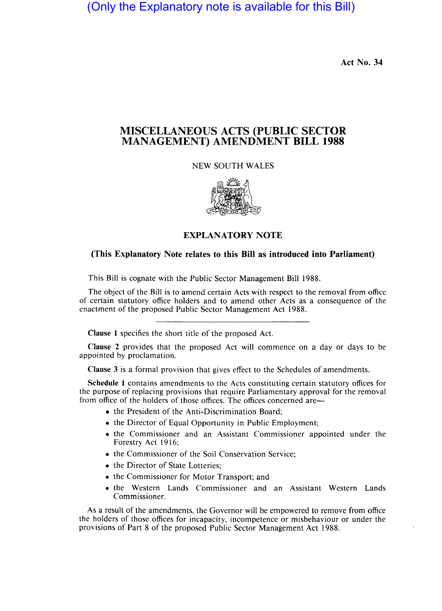(Only the Explanatory note is available for this Bill)

Act No. 34

## MISCELLANEOUS ACTS (PUBLIC SECTOR MANAGEMENT) AMENDMENT BILL 1988

NEW SOUTH WALES



EXPLANATORY NOTE

## (This Explanatory Note relates to this Bill as introduced into Parliament)

This Bill is cognate with the Public Sector Management Bill 1988.

The object of the Bill is to amend certain Acts with respect to the removal from office of certain statutory office holders and to amend other Acts as a consequence of the enactment of the proposed Public Sector Management Act 1988.

Clause 1 specifies the short title of the proposed Act.

Clause 2 provides that the proposed Act will commence on a day or days to be appointed by proclamation.

Clause 3 is a formal provision that gives effect to the Schedules of amendments.

Schedule 1 contains amendments to the Acts constituting certain statutory offices for the purpose of replacing provisions that require Parliamentary approval for the removal from office of the holders of those offices. The offices concerned are-

- the President of the Anti-Discrimination Board;
- the Director of Equal Opportunity in Public Employment;
- the Commissioner and an Assistant Commissioner appointed under the Forestry Act 1916;
- the Commissioner of the Soil Conservation Service;
- the Director of State Lotteries;
- the Commissioner for Motor Transport; and
- the Western Lands Commissioner and an Assistant Western Lands Commissioner.

As a result of the amendments, the Governor will be empowered to remove from office the holders of those offices for incapacity, incompetence or misbehaviour or under the provisions of Part 8 of the proposed Public Sector Management Act 1988.